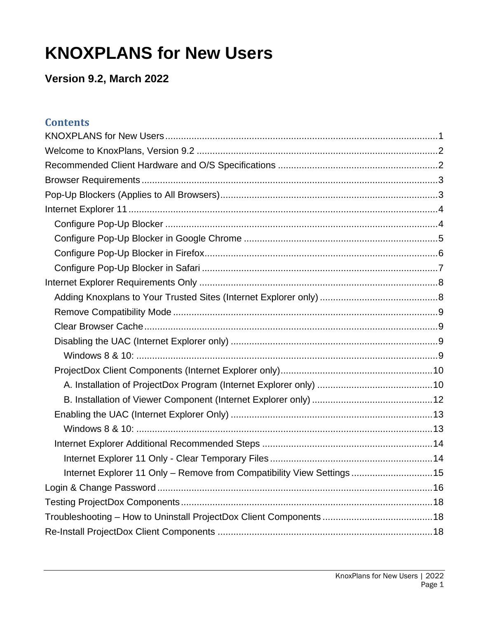# <span id="page-0-0"></span>**KNOXPLANS for New Users**

# **Version 9.2, March 2022**

## **Contents**

| Internet Explorer 11 Only - Remove from Compatibility View Settings15 |  |
|-----------------------------------------------------------------------|--|
|                                                                       |  |
|                                                                       |  |
|                                                                       |  |
|                                                                       |  |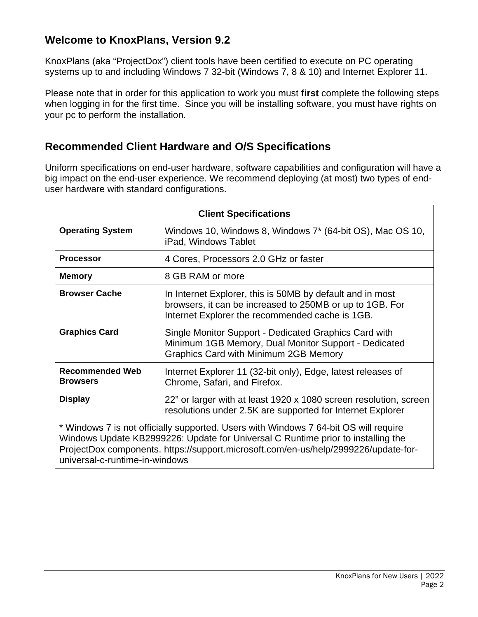## <span id="page-1-0"></span>**Welcome to KnoxPlans, Version 9.2**

KnoxPlans (aka "ProjectDox") client tools have been certified to execute on PC operating systems up to and including Windows 7 32-bit (Windows 7, 8 & 10) and Internet Explorer 11.

Please note that in order for this application to work you must **first** complete the following steps when logging in for the first time. Since you will be installing software, you must have rights on your pc to perform the installation.

## <span id="page-1-1"></span>**Recommended Client Hardware and O/S Specifications**

Uniform specifications on end-user hardware, software capabilities and configuration will have a big impact on the end-user experience. We recommend deploying (at most) two types of enduser hardware with standard configurations.

| <b>Client Specifications</b>              |                                                                                                                                                                                                                                                                 |  |  |  |  |  |
|-------------------------------------------|-----------------------------------------------------------------------------------------------------------------------------------------------------------------------------------------------------------------------------------------------------------------|--|--|--|--|--|
| <b>Operating System</b>                   | Windows 10, Windows 8, Windows 7 <sup>*</sup> (64-bit OS), Mac OS 10,<br>iPad, Windows Tablet                                                                                                                                                                   |  |  |  |  |  |
| <b>Processor</b>                          | 4 Cores, Processors 2.0 GHz or faster                                                                                                                                                                                                                           |  |  |  |  |  |
| <b>Memory</b>                             | 8 GB RAM or more                                                                                                                                                                                                                                                |  |  |  |  |  |
| <b>Browser Cache</b>                      | In Internet Explorer, this is 50MB by default and in most<br>browsers, it can be increased to 250MB or up to 1GB. For<br>Internet Explorer the recommended cache is 1GB.                                                                                        |  |  |  |  |  |
| <b>Graphics Card</b>                      | Single Monitor Support - Dedicated Graphics Card with<br>Minimum 1GB Memory, Dual Monitor Support - Dedicated<br><b>Graphics Card with Minimum 2GB Memory</b>                                                                                                   |  |  |  |  |  |
| <b>Recommended Web</b><br><b>Browsers</b> | Internet Explorer 11 (32-bit only), Edge, latest releases of<br>Chrome, Safari, and Firefox.                                                                                                                                                                    |  |  |  |  |  |
| <b>Display</b>                            | 22" or larger with at least 1920 x 1080 screen resolution, screen<br>resolutions under 2.5K are supported for Internet Explorer                                                                                                                                 |  |  |  |  |  |
| universal-c-runtime-in-windows            | * Windows 7 is not officially supported. Users with Windows 7 64-bit OS will require<br>Windows Update KB2999226: Update for Universal C Runtime prior to installing the<br>ProjectDox components. https://support.microsoft.com/en-us/help/2999226/update-for- |  |  |  |  |  |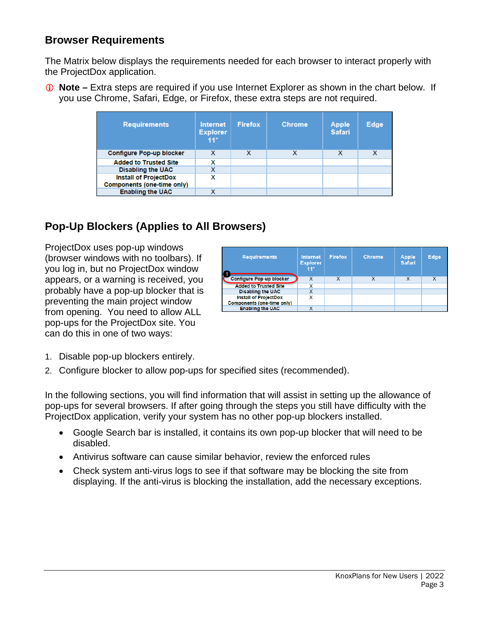# <span id="page-2-0"></span>**Browser Requirements**

The Matrix below displays the requirements needed for each browser to interact properly with the ProjectDox application.

 **Note –** Extra steps are required if you use Internet Explorer as shown in the chart below. If you use Chrome, Safari, Edge, or Firefox, these extra steps are not required.

| <b>Requirements</b>                                        | <b>Internet</b><br><b>Explorer</b><br>$11*$ | <b>Firefox</b> | <b>Chrome</b> | Apple<br><b>Safari</b> | Edge |
|------------------------------------------------------------|---------------------------------------------|----------------|---------------|------------------------|------|
| <b>Configure Pop-up blocker</b>                            | x                                           | X              | x             | x                      | x    |
| <b>Added to Trusted Site</b>                               | x                                           |                |               |                        |      |
| <b>Disabling the UAC</b>                                   | x                                           |                |               |                        |      |
| <b>Install of ProjectDox</b><br>Components (one-time only) | x                                           |                |               |                        |      |
| <b>Enabling the UAC</b>                                    | x                                           |                |               |                        |      |

# <span id="page-2-1"></span>**Pop-Up Blockers (Applies to All Browsers)**

ProjectDox uses pop-up windows (browser windows with no toolbars). If you log in, but no ProjectDox window appears, or a warning is received, you probably have a pop-up blocker that is preventing the main project window from opening. You need to allow ALL pop-ups for the ProjectDox site. You can do this in one of two ways:

| <b>Requirements</b>                                        | <b>Internet</b><br><b>Explorer</b><br>$11*$ | <b>Firefox</b> | <b>Chrome</b> | Apple<br><b>Safari</b> | Edge |
|------------------------------------------------------------|---------------------------------------------|----------------|---------------|------------------------|------|
| Configure Pop-up blocker                                   | x                                           | X              | x             | x                      | X    |
| <b>Added to Trusted Site</b>                               | x                                           |                |               |                        |      |
| <b>Disabling the UAC</b>                                   |                                             |                |               |                        |      |
| <b>Install of ProjectDox</b><br>Components (one-time only) | x                                           |                |               |                        |      |
| <b>Enabling the UAC</b>                                    | x                                           |                |               |                        |      |

- 1. Disable pop-up blockers entirely.
- 2. Configure blocker to allow pop-ups for specified sites (recommended).

In the following sections, you will find information that will assist in setting up the allowance of pop-ups for several browsers. If after going through the steps you still have difficulty with the ProjectDox application, verify your system has no other pop-up blockers installed.

- Google Search bar is installed, it contains its own pop-up blocker that will need to be disabled.
- Antivirus software can cause similar behavior, review the enforced rules
- Check system anti-virus logs to see if that software may be blocking the site from displaying. If the anti-virus is blocking the installation, add the necessary exceptions.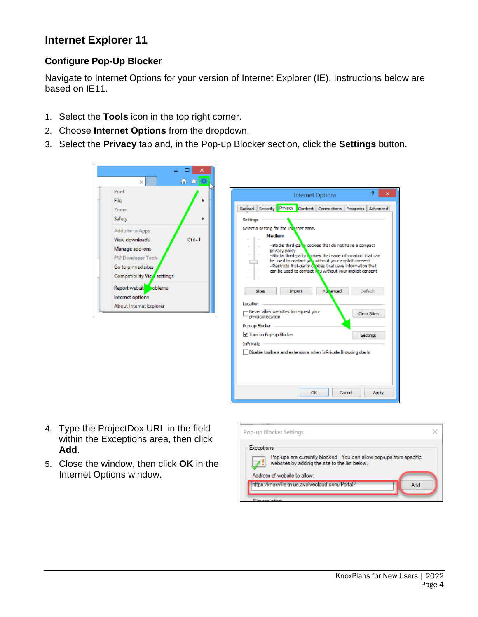# <span id="page-3-0"></span>**Internet Explorer 11**

#### <span id="page-3-1"></span>**Configure Pop-Up Blocker**

Navigate to Internet Options for your version of Internet Explorer (IE). Instructions below are based on IE11.

- 1. Select the **Tools** icon in the top right corner.
- 2. Choose **Internet Options** from the dropdown.
- 3. Select the **Privacy** tab and, in the Pop-up Blocker section, click the **Settings** button.





- 4. Type the ProjectDox URL in the field within the Exceptions area, then click **Add**.
- 5. Close the window, then click **OK** in the Internet Options window.

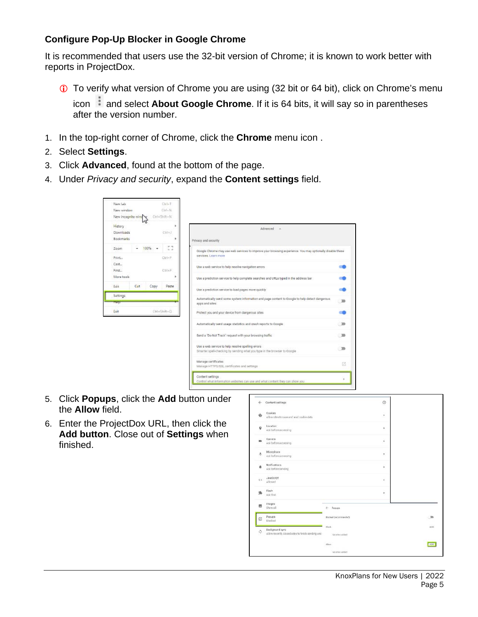#### <span id="page-4-0"></span>**Configure Pop-Up Blocker in Google Chrome**

It is recommended that users use the 32-bit version of Chrome; it is known to work better with reports in ProjectDox.

- To verify what version of Chrome you are using (32 bit or 64 bit), click on Chrome's menu icon **and select About Google Chrome**. If it is 64 bits, it will say so in parentheses after the version number.
- 1. In the top-right corner of Chrome, click the **Chrome** menu icon .
- 2. Select **Settings**.
- 3. Click **Advanced**, found at the bottom of the page.
- 4. Under *Privacy and security*, expand the **Content settings** field.

| New window              |              | Coshh                    |                                                                                                                               |              |
|-------------------------|--------------|--------------------------|-------------------------------------------------------------------------------------------------------------------------------|--------------|
| New incognito wind<br>₩ | Ctrl+Shift+N |                          |                                                                                                                               |              |
|                         |              |                          |                                                                                                                               |              |
| History                 |              | ٠                        | Advanced A                                                                                                                    |              |
| Downloads               |              | $Ctri+1$                 |                                                                                                                               |              |
| Bookmarks               |              | ٠                        | Privacy and security                                                                                                          |              |
| Zoom<br>٠               | 100%         | pt. og<br>$\delta x$ and | Google Chrome may use web services to improve your browsing experience. You may optionally disable these                      |              |
| Prints                  |              | Ctrl+P.                  | services. Learn more                                                                                                          |              |
| Cast                    |              |                          |                                                                                                                               |              |
| Find.                   |              | Ctri+F                   | Use a web service to help resolve navigation errors                                                                           |              |
| More tools:             |              |                          | Use a prediction service to help complete searches and URLs typed in the address bar                                          |              |
| Cut<br>Edit             | Copy         | Paste                    | Use a prediction service to load pages more quickly                                                                           |              |
| Settings                |              |                          | Automatically send some system information and page content to Google to help detect dangerous                                |              |
| <b>THE</b>              |              |                          | apps and sites                                                                                                                | $\mathbf{m}$ |
| Exit                    | Orl+Shift+0  |                          | Protect you and your device from dangerous sites                                                                              |              |
|                         |              |                          | Automatically send usage statistics and crash reports to Google                                                               | ு            |
|                         |              |                          | Send a 'Do Not Track' request with your browsing traffic                                                                      | ැම           |
|                         |              |                          | Use a web service to help resolve spelling errors<br>Smarter spell-checking by sending what you type in the browser to Google | ு            |
|                         |              |                          | Manage certificates<br>Manage HTTPS/SSL certificates and settings                                                             | Ø            |
|                         |              |                          |                                                                                                                               |              |

- 5. Click **Popups**, click the **Add** button under the **Allow** field.
- 6. Enter the ProjectDox URL, then click the **Add button**. Close out of **Settings** when finished.

| €       | Content settings                                                     |                         | Ø |            |
|---------|----------------------------------------------------------------------|-------------------------|---|------------|
| ø       | Cookies<br>Allow sites to save and read cookie data                  |                         | ٠ |            |
| $\circ$ | Location<br>Ask before accessing                                     |                         | ٠ |            |
|         | Camera<br>Ask before accessing                                       |                         | ٠ |            |
| ð,      | Microphone<br>Ask before accessing                                   |                         | × |            |
| ۵       | Notifications<br>Ask before sending                                  |                         | ٠ |            |
| 5.5     | JavaScript<br>Allowed                                                |                         | × |            |
|         | Flash<br>Ask first                                                   |                         | × |            |
| 两       | Images<br>Show all                                                   | + Popups                |   |            |
| Ø       | Popups<br>Blocked                                                    | Blocked (recommended)   |   | $\Box$     |
| Ò       | Background sync<br>Allow recently closed sites to finish sending and | Block<br>No sites added |   | ADD        |
|         |                                                                      | Allow                   |   | <b>ADD</b> |
|         |                                                                      | No shes added           |   |            |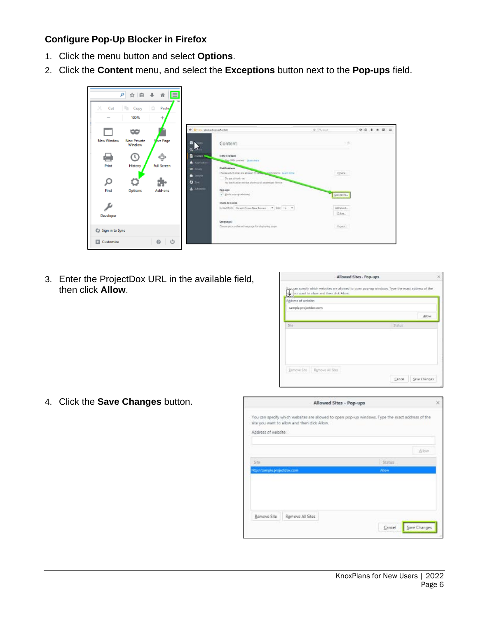#### <span id="page-5-0"></span>**Configure Pop-Up Blocker in Firefox**

- 1. Click the menu button and select **Options**.
- 2. Click the **Content** menu, and select the **Exceptions** button next to the **Pop-ups** field.



3. Enter the ProjectDox URL in the available field, then click **Allow**.

| Allow         |
|---------------|
| <b>Status</b> |
|               |
|               |
|               |
|               |

4. Click the **Save Changes** button.

|                              | Allowed Sites - Pop-ups                     |                                                                                                  | $\times$ |
|------------------------------|---------------------------------------------|--------------------------------------------------------------------------------------------------|----------|
| Address of website:          | site you want to allow and then did: Allow. | You can specify which websites are allowed to open pop-up windows. Type the exact address of the |          |
|                              |                                             |                                                                                                  | Allow    |
| Sta                          |                                             | Status                                                                                           |          |
| http://sample.projectdox.com |                                             | Allow                                                                                            |          |
|                              |                                             |                                                                                                  |          |
|                              |                                             |                                                                                                  |          |
| <b>Bemove Site</b>           | Remove All Sites                            |                                                                                                  |          |
|                              |                                             |                                                                                                  |          |
|                              |                                             | Save Changes<br>Cantel                                                                           |          |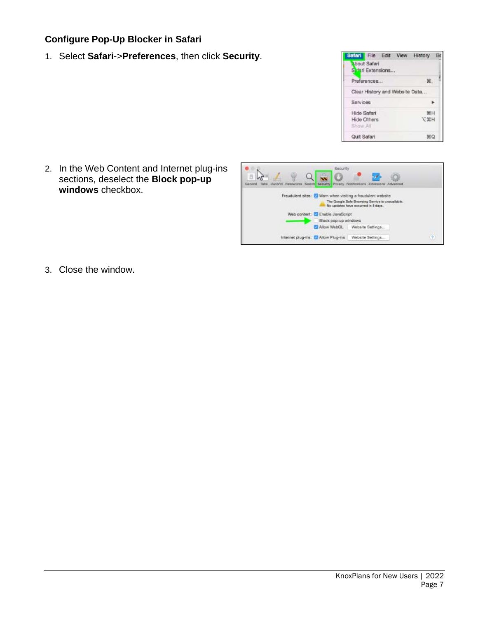#### <span id="page-6-0"></span>**Configure Pop-Up Blocker in Safari**

1. Select **Safari**->**Preferences**, then click **Security**.



2. In the Web Content and Internet plug-ins sections, deselect the **Block pop-up windows** checkbox.



3. Close the window.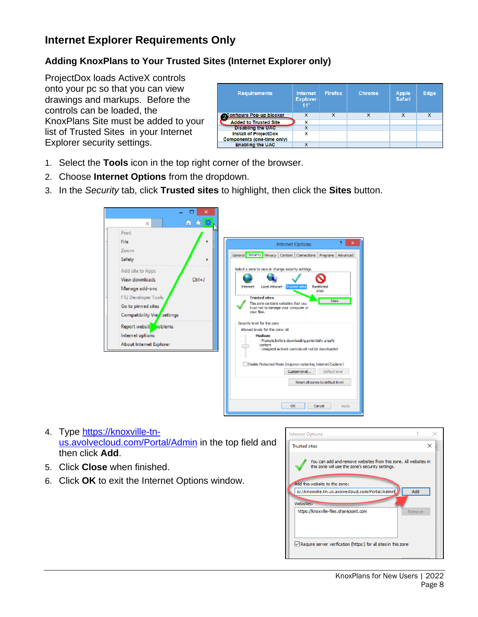# <span id="page-7-0"></span>**Internet Explorer Requirements Only**

#### <span id="page-7-1"></span>**Adding KnoxPlans to Your Trusted Sites (Internet Explorer only)**

ProjectDox loads ActiveX controls onto your pc so that you can view drawings and markups. Before the controls can be loaded, the KnoxPlans Site must be added to your list of Trusted Sites in your Internet Explorer security settings.

| <b>Requirements</b>          | <b>Internet</b><br><b>Explorer</b><br>$11*$ | <b>Firefox</b> | <b>Chrome</b> | Apple<br><b>Safari</b> | Edge |
|------------------------------|---------------------------------------------|----------------|---------------|------------------------|------|
| Configure Pop-up blocker     | x                                           |                | x             | x                      | X    |
| <b>Added to Trusted Site</b> | x                                           |                |               |                        |      |
| <b>Disabling the UAC</b>     | x                                           |                |               |                        |      |
| <b>Install of ProjectDox</b> | x                                           |                |               |                        |      |
| Components (one-time only)   |                                             |                |               |                        |      |
| <b>Enabling the UAC</b>      |                                             |                |               |                        |      |

- 1. Select the **Tools** icon in the top right corner of the browser.
- 2. Choose **Internet Options** from the dropdown.
- 3. In the *Security* tab, click **Trusted sites** to highlight, then click the **Sites** button.



- 4. Type [https://knoxville-tn](https://knoxville-tn-us.avolvecloud.com/Portal/Admin)[us.avolvecloud.com/Portal/Admin](https://knoxville-tn-us.avolvecloud.com/Portal/Admin) in the top field and then click **Add**.
- 5. Click **Close** when finished.
- 6. Click **OK** to exit the Internet Options window.

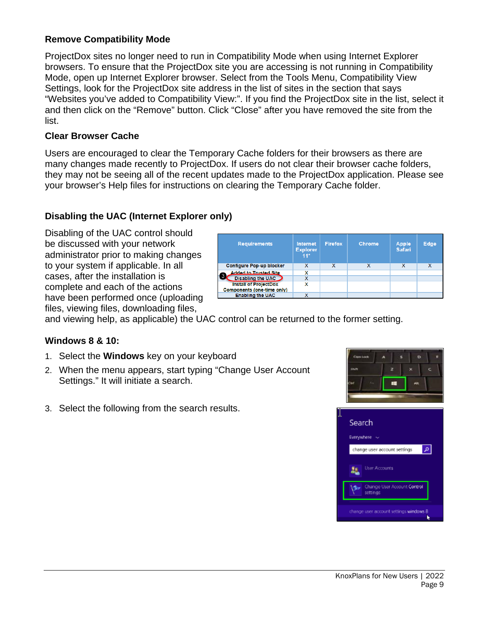#### <span id="page-8-0"></span>**Remove Compatibility Mode**

ProjectDox sites no longer need to run in Compatibility Mode when using Internet Explorer browsers. To ensure that the ProjectDox site you are accessing is not running in Compatibility Mode, open up Internet Explorer browser. Select from the Tools Menu, Compatibility View Settings, look for the ProjectDox site address in the list of sites in the section that says "Websites you've added to Compatibility View:". If you find the ProjectDox site in the list, select it and then click on the "Remove" button. Click "Close" after you have removed the site from the list.

#### <span id="page-8-1"></span>**Clear Browser Cache**

Users are encouraged to clear the Temporary Cache folders for their browsers as there are many changes made recently to ProjectDox. If users do not clear their browser cache folders, they may not be seeing all of the recent updates made to the ProjectDox application. Please see your browser's Help files for instructions on clearing the Temporary Cache folder.

#### <span id="page-8-2"></span>**Disabling the UAC (Internet Explorer only)**

Disabling of the UAC control should be discussed with your network administrator prior to making changes to your system if applicable. In all cases, after the installation is complete and each of the actions have been performed once (uploading files, viewing files, downloading files,

| <b>Requirements</b>                                        | <b>Internet</b><br><b>Explorer</b><br>$11*$ | <b>Firefox</b> | <b>Chrome</b> | Apple<br><b>Safari</b> | Edge |
|------------------------------------------------------------|---------------------------------------------|----------------|---------------|------------------------|------|
| <b>Configure Pop-up blocker</b>                            | x                                           | x              | x             | x                      | x    |
| <b>Added to Trusted Site</b>                               | x                                           |                |               |                        |      |
| $\blacksquare$<br>Disabling the UAC                        | X                                           |                |               |                        |      |
| <b>Install of ProjectDox</b><br>Components (one-time only) | x                                           |                |               |                        |      |
| <b>Enabling the UAC</b>                                    |                                             |                |               |                        |      |

and viewing help, as applicable) the UAC control can be returned to the former setting.

#### <span id="page-8-3"></span>**Windows 8 & 10:**

- 1. Select the **Windows** key on your keyboard
- 2. When the menu appears, start typing "Change User Account Settings." It will initiate a search.
- 3. Select the following from the search results.

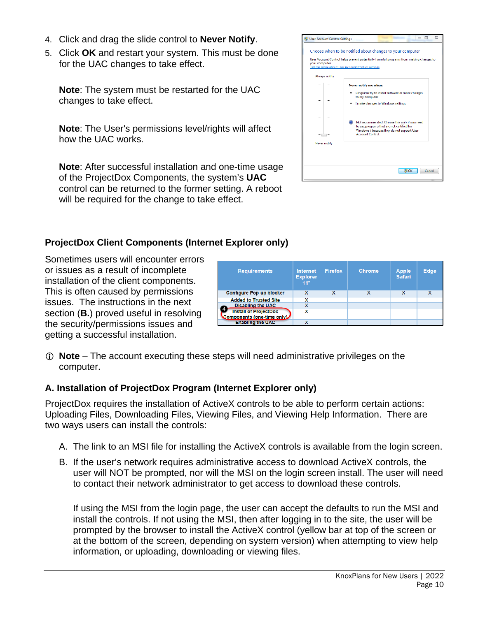- 4. Click and drag the slide control to **Never Notify**.
- 5. Click **OK** and restart your system. This must be done for the UAC changes to take effect.

**Note**: The system must be restarted for the UAC changes to take effect.

**Note**: The User's permissions level/rights will affect how the UAC works.

**Note**: After successful installation and one-time usage of the ProjectDox Components, the system's **UAC**  control can be returned to the former setting. A reboot will be required for the change to take effect.

| <b>User Account Control Settings</b> | 53<br>$\Box$<br>$=$                                                                                                                                                                                     |
|--------------------------------------|---------------------------------------------------------------------------------------------------------------------------------------------------------------------------------------------------------|
| your computer.                       | Choose when to be notified about changes to your computer<br>User Account Control helps prevent potentially harmful programs from making changes to<br>Tell me more about User Account Control settings |
| Always notify                        |                                                                                                                                                                                                         |
|                                      | Never notify me when:                                                                                                                                                                                   |
|                                      | Programs try to install software or make changes<br>to my computer<br>I make changes to Windows settings                                                                                                |
|                                      | (b) Not recommended. Choose this only if you need<br>to use programs that are not certified for<br>Windows 7 because they do not support User<br><b>Account Control.</b>                                |
| Never notify                         |                                                                                                                                                                                                         |
|                                      |                                                                                                                                                                                                         |
|                                      |                                                                                                                                                                                                         |
|                                      | <b>WOOK</b><br>Cancel                                                                                                                                                                                   |

#### <span id="page-9-0"></span>**ProjectDox Client Components (Internet Explorer only)**

Sometimes users will encounter errors or issues as a result of incomplete installation of the client components. This is often caused by permissions issues. The instructions in the next section (**B.**) proved useful in resolving the security/permissions issues and getting a successful installation.

| <b>Requirements</b>          | <b>Internet</b><br><b>Explorer</b><br>$11*$ | <b>Firefox</b> | <b>Chrome</b> | Apple<br><b>Safari</b> | Edge |
|------------------------------|---------------------------------------------|----------------|---------------|------------------------|------|
| Configure Pop-up blocker     | x                                           | X              |               |                        | X    |
| <b>Added to Trusted Site</b> | x                                           |                |               |                        |      |
| <b>Disabling the UAC</b>     |                                             |                |               |                        |      |
| <b>Install of ProjectDox</b> |                                             |                |               |                        |      |
| Components (one-time only)   |                                             |                |               |                        |      |
| <b>Enabling the UAC</b>      |                                             |                |               |                        |      |

 **Note** – The account executing these steps will need administrative privileges on the computer.

#### <span id="page-9-1"></span>**A. Installation of ProjectDox Program (Internet Explorer only)**

ProjectDox requires the installation of ActiveX controls to be able to perform certain actions: Uploading Files, Downloading Files, Viewing Files, and Viewing Help Information. There are two ways users can install the controls:

- A. The link to an MSI file for installing the ActiveX controls is available from the login screen.
- B. If the user's network requires administrative access to download ActiveX controls, the user will NOT be prompted, nor will the MSI on the login screen install. The user will need to contact their network administrator to get access to download these controls.

If using the MSI from the login page, the user can accept the defaults to run the MSI and install the controls. If not using the MSI, then after logging in to the site, the user will be prompted by the browser to install the ActiveX control (yellow bar at top of the screen or at the bottom of the screen, depending on system version) when attempting to view help information, or uploading, downloading or viewing files.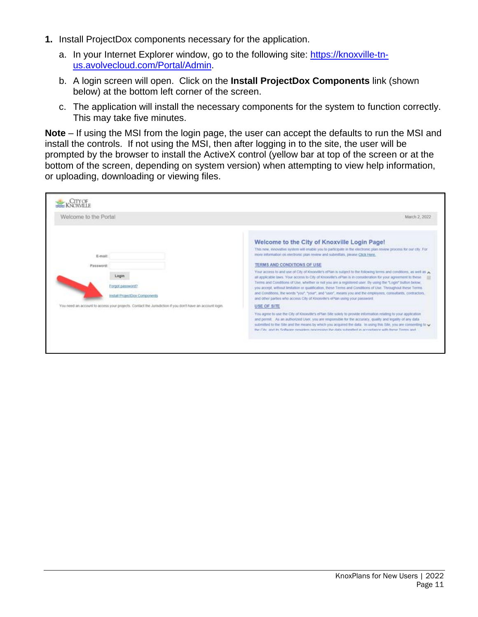- **1.** Install ProjectDox components necessary for the application.
	- a. In your Internet Explorer window, go to the following site: [https://knoxville-tn](https://knoxville-tn-us.avolvecloud.com/Portal/Admin)[us.avolvecloud.com/Portal/Admin.](https://knoxville-tn-us.avolvecloud.com/Portal/Admin)
	- b. A login screen will open. Click on the **Install ProjectDox Components** link (shown below) at the bottom left corner of the screen.
	- c. The application will install the necessary components for the system to function correctly. This may take five minutes.

**Note** – If using the MSI from the login page, the user can accept the defaults to run the MSI and install the controls. If not using the MSI, then after logging in to the site, the user will be prompted by the browser to install the ActiveX control (yellow bar at top of the screen or at the bottom of the screen, depending on system version) when attempting to view help information, or uploading, downloading or viewing files.

| Welcome to the Portal                                                                                     | March 2, 2022                                                                                                                                                                                                                                                                                                                                                                                                                                                                                                                                                                                                                                                                                                                                                                                                                                                                                                                                  |
|-----------------------------------------------------------------------------------------------------------|------------------------------------------------------------------------------------------------------------------------------------------------------------------------------------------------------------------------------------------------------------------------------------------------------------------------------------------------------------------------------------------------------------------------------------------------------------------------------------------------------------------------------------------------------------------------------------------------------------------------------------------------------------------------------------------------------------------------------------------------------------------------------------------------------------------------------------------------------------------------------------------------------------------------------------------------|
| E-mail:<br>Password:<br>Login<br>Forgot password?<br>Install ProjectDox Components                        | Welcome to the City of Knoxville Login Page!<br>This new, innovative system will enable you to participate in the electronic plan review process for our city. For<br>more information on electronic plan review and submittals, please Click Here.<br>TERMS AND CONDITIONS OF USE<br>Your access to and use of City of Knoxville's ePlan is subject to the following terms and conditions, as well as<br>all applicable laws. Your access to City of Knowlet's ePlan is in consideration for your agreement to these<br>Terms and Conditions of Use, whether or not you are a registered user. By using the "Login" button below,<br>you accept, without limitation or qualification, these Terms and Conditions of Use. Throughout these Terms.<br>and Conditions, the words "you", "your", and "user", means you and the employees, consultants, contractors,<br>and other parties who access City of Knoxwile's ePlan using your password. |
| You need an account to access your projects. Contact the Jurisdiction if you don't have an account login. | USE OF SITE                                                                                                                                                                                                                                                                                                                                                                                                                                                                                                                                                                                                                                                                                                                                                                                                                                                                                                                                    |
|                                                                                                           | You agree to use the City of Knoxvite's ePlan Site solely to provide information relating to your application<br>and permit. As an authorized User, you are responsible for the accuracy, quality and legality of any data<br>submitted to the Site and the means by which you acquired the data. In using this Site, you are consenting to $\psi$<br>the City, and its Sylfacer nowwers processing the data submitted is accordance with these Terms and                                                                                                                                                                                                                                                                                                                                                                                                                                                                                      |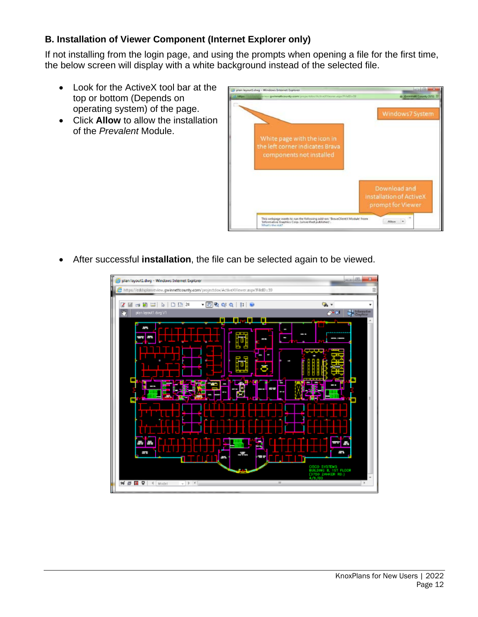## <span id="page-11-0"></span>**B. Installation of Viewer Component (Internet Explorer only)**

If not installing from the login page, and using the prompts when opening a file for the first time, the below screen will display with a white background instead of the selected file.

- Look for the ActiveX tool bar at the top or bottom (Depends on operating system) of the page.
- Click **Allow** to allow the installation of the *Prevalent* Module.



• After successful **installation**, the file can be selected again to be viewed.

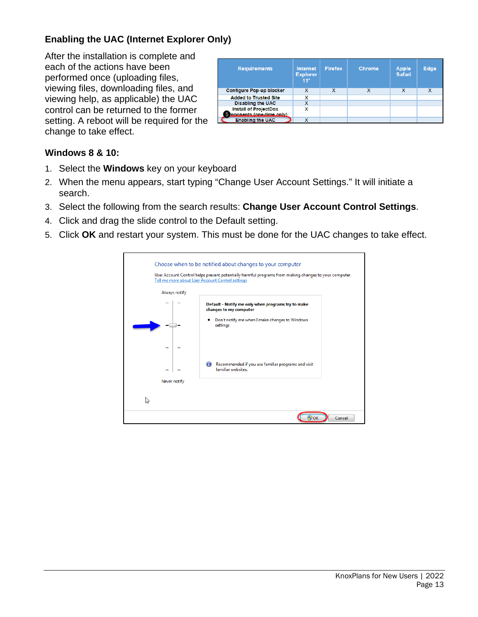## <span id="page-12-0"></span>**Enabling the UAC (Internet Explorer Only)**

After the installation is complete and each of the actions have been performed once (uploading files, viewing files, downloading files, and viewing help, as applicable) the UAC control can be returned to the former setting. A reboot will be required for the change to take effect.

| <b>Requirements</b>                                      | <b>Internet</b><br><b>Explorer</b><br>$11*$ | <b>Firefox</b> | <b>Chrome</b> | Apple<br><b>Safari</b> | Edge |
|----------------------------------------------------------|---------------------------------------------|----------------|---------------|------------------------|------|
| <b>Configure Pop-up blocker</b>                          | x                                           | x              | х             | x                      | X    |
| <b>Added to Trusted Site</b>                             | x                                           |                |               |                        |      |
| <b>Disabling the UAC</b>                                 | x                                           |                |               |                        |      |
| <b>Install of ProjectDox</b><br>mnonents (one-time only) | x                                           |                |               |                        |      |
| <b>Enabling the UAC</b>                                  | x                                           |                |               |                        |      |

#### <span id="page-12-1"></span>**Windows 8 & 10:**

- 1. Select the **Windows** key on your keyboard
- 2. When the menu appears, start typing "Change User Account Settings." It will initiate a search.
- 3. Select the following from the search results: **Change User Account Control Settings**.
- 4. Click and drag the slide control to the Default setting.
- 5. Click **OK** and restart your system. This must be done for the UAC changes to take effect.

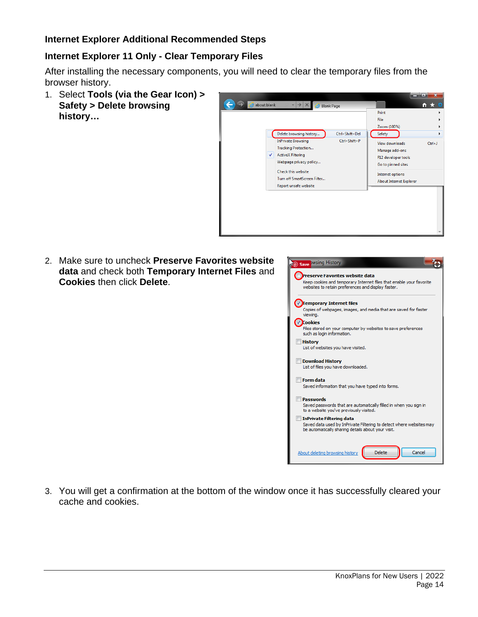#### <span id="page-13-0"></span>**Internet Explorer Additional Recommended Steps**

#### <span id="page-13-1"></span>**Internet Explorer 11 Only - Clear Temporary Files**

After installing the necessary components, you will need to clear the temporary files from the browser history.

1. Select **Tools (via the Gear Icon) > Safety > Delete browsing history…**



2. Make sure to uncheck **Preserve Favorites website data** and check both **Temporary Internet Files** and **Cookies** then click **Delete**.



3. You will get a confirmation at the bottom of the window once it has successfully cleared your cache and cookies.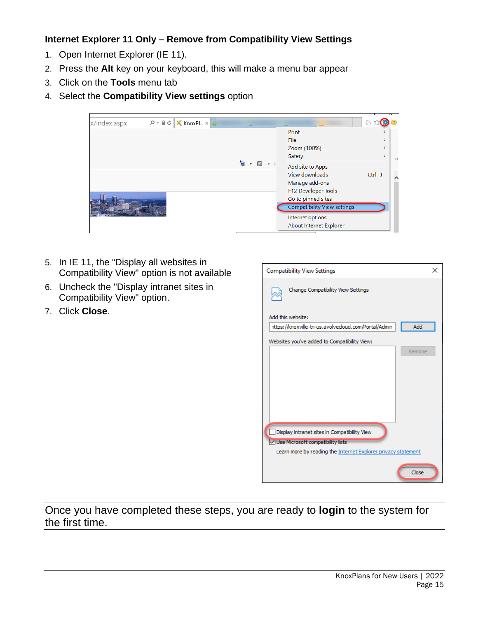#### <span id="page-14-0"></span>**Internet Explorer 11 Only – Remove from Compatibility View Settings**

- 1. Open Internet Explorer (IE 11).
- 2. Press the **Alt** key on your keyboard, this will make a menu bar appear
- 3. Click on the **Tools** menu tab
- 4. Select the **Compatibility View settings** option



- 5. In IE 11, the "Display all websites in Compatibility View" option is not available
- 6. Uncheck the "Display intranet sites in Compatibility View" option.
- 7. Click **Close**.

| <b>Compatibility View Settings</b>                            |        |
|---------------------------------------------------------------|--------|
| Change Compatibility View Settings                            |        |
| Add this website:                                             |        |
| 1ttps://knoxville-tn-us.avolvecloud.com/Portal/Admin          | Add    |
| Websites you've added to Compatibility View:                  |        |
|                                                               | Remove |
|                                                               |        |
|                                                               |        |
|                                                               |        |
|                                                               |        |
|                                                               |        |
|                                                               |        |
| Display intranet sites in Compatibility View                  |        |
| VI Use Microsoft compatibility lists                          |        |
| Learn more by reading the Internet Explorer privacy statement |        |
|                                                               | Close  |
|                                                               |        |

## Once you have completed these steps, you are ready to **login** to the system for the first time.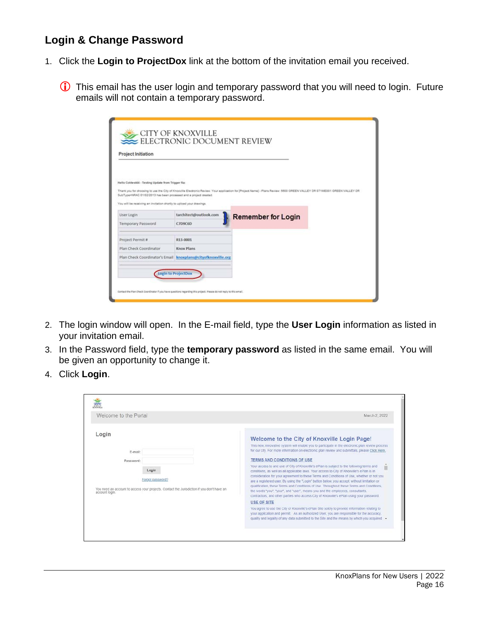# <span id="page-15-0"></span>**Login & Change Password**

- 1. Click the **Login to ProjectDox** link at the bottom of the invitation email you received.
	- This email has the user login and temporary password that you will need to login. Future emails will not contain a temporary password.

| Project Initiation                                                                                                                                                                             | - CITY OF KNOXVILLE<br>ELECTRONIC DOCUMENT REVIEW            |                                                                                                                                                                          |  |
|------------------------------------------------------------------------------------------------------------------------------------------------------------------------------------------------|--------------------------------------------------------------|--------------------------------------------------------------------------------------------------------------------------------------------------------------------------|--|
| Hello Coktest44 - Testing Update from Trigger Na:<br>SubType=NRAC 01/02/2013 has been processed and a project created.<br>You will be reasiving an invitation shortly to upload your drawings. |                                                              | Thank you for choosing to use the City of Knoxville Electronic Review. Your application for IProject Name] - Plans Review: 5000 GREEN VALLEY DR 071ME001 GREEN VALLEY DR |  |
| User Login                                                                                                                                                                                     | tarchitect@outlook.com                                       | <b>Remember for Login</b>                                                                                                                                                |  |
| Temporary Password                                                                                                                                                                             | C7D9C6D                                                      |                                                                                                                                                                          |  |
| Project Permit #                                                                                                                                                                               | R13-0001                                                     |                                                                                                                                                                          |  |
| Plan Check Coordinator                                                                                                                                                                         | Knox Plans                                                   |                                                                                                                                                                          |  |
|                                                                                                                                                                                                | Plan Check Coordinator's Email knoxplans@cityofknoxville.org |                                                                                                                                                                          |  |
|                                                                                                                                                                                                | Login to ProjectDox                                          |                                                                                                                                                                          |  |

- 2. The login window will open. In the E-mail field, type the **User Login** information as listed in your invitation email.
- 3. In the Password field, type the **temporary password** as listed in the same email. You will be given an opportunity to change it.
- 4. Click **Login**.

| Welcome to the Portal                                                                                                                                                      | March 2, 2022                                                                                                                                                                                                                                                                                                                                                                                                                                                                                                                                                                                                                                                                                                                                                                                                                                                                                                                                                                                                                                                                                                                                                           |
|----------------------------------------------------------------------------------------------------------------------------------------------------------------------------|-------------------------------------------------------------------------------------------------------------------------------------------------------------------------------------------------------------------------------------------------------------------------------------------------------------------------------------------------------------------------------------------------------------------------------------------------------------------------------------------------------------------------------------------------------------------------------------------------------------------------------------------------------------------------------------------------------------------------------------------------------------------------------------------------------------------------------------------------------------------------------------------------------------------------------------------------------------------------------------------------------------------------------------------------------------------------------------------------------------------------------------------------------------------------|
| Login<br>E-mail:<br>Password:<br>Login<br>Forgot password?<br>You need an account to access your projects. Contact the Jurisdiction if you don't have an<br>account login. | Welcome to the City of Knoxville Login Page!<br>This new, innovative system will enable you to participate in the electronic plan review process<br>for our city. For more information on electronic plan review and submittals, please Click Here,<br>TERMS AND CONDITIONS OF USE<br>Your access to and use of City of Knoxville's ePlan is subject to the following terms and<br>conditions, as well as all applicable laws. Your access to City of Knoxville's ePtan is in<br>consideration for your agreement to these Terms and Conditions of Use, whether or not you<br>are a registered user. By using the "Login" button below, you accept, without limitation or<br>qualification, these Terms and Conditions of Use. Throughout these Terms and Conditions.<br>the words "you", "your", and "user", means you and the employees, consultants,<br>contractors, and other parties who access City of Knoxville's ePlan using your password.<br><b>USE OF SITE</b><br>You agree to use the City of Knoxville's ePlan Site solely to provide information relating to<br>your application and permit. As an authorized User, you are responsible for the accuracy, |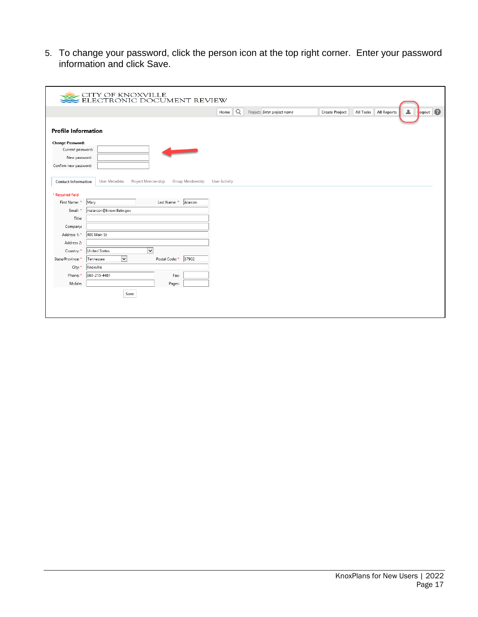5. To change your password, click the person icon at the top right corner. Enter your password information and click Save.

|                            | ELECTRONIC DOCUMENT REVIEW                                   |                      |                             |                       |                                 |                          |
|----------------------------|--------------------------------------------------------------|----------------------|-----------------------------|-----------------------|---------------------------------|--------------------------|
|                            |                                                              | Q<br>Home            | Project: Enter project name | <b>Create Project</b> | All Tasks<br><b>All Reports</b> | $\bullet$<br>ዹ<br>Logout |
| <b>Profile Information</b> |                                                              |                      |                             |                       |                                 |                          |
| Change Password:           |                                                              |                      |                             |                       |                                 |                          |
| Current password:          |                                                              |                      |                             |                       |                                 |                          |
| New password:              |                                                              |                      |                             |                       |                                 |                          |
| Confirm new password:      |                                                              |                      |                             |                       |                                 |                          |
| <b>Contact Information</b> | Project Membership<br>Group Membership<br>User Metadata      | <b>User Activity</b> |                             |                       |                                 |                          |
| * Required field           |                                                              |                      |                             |                       |                                 |                          |
| First Name: *              | Last Name: *   Alarcon<br>Mary                               |                      |                             |                       |                                 |                          |
| Email: *                   | malarcon@knoxvilletn.gov                                     |                      |                             |                       |                                 |                          |
| Title:                     |                                                              |                      |                             |                       |                                 |                          |
| Company:                   |                                                              |                      |                             |                       |                                 |                          |
| Address 1:*                | 400 Main St                                                  |                      |                             |                       |                                 |                          |
| Address 2:                 |                                                              |                      |                             |                       |                                 |                          |
| Country: *                 | $\overline{\mathsf{v}}$<br>United States                     |                      |                             |                       |                                 |                          |
| State/Province: '          | $\overline{\mathsf{v}}$<br>Postal Code: * 37902<br>Tennessee |                      |                             |                       |                                 |                          |
| City:                      | Knoxville                                                    |                      |                             |                       |                                 |                          |
| Phone:                     | 865-215-4481<br>Fax:                                         |                      |                             |                       |                                 |                          |
| Mobile:                    | Pager:                                                       |                      |                             |                       |                                 |                          |
|                            | Save                                                         |                      |                             |                       |                                 |                          |